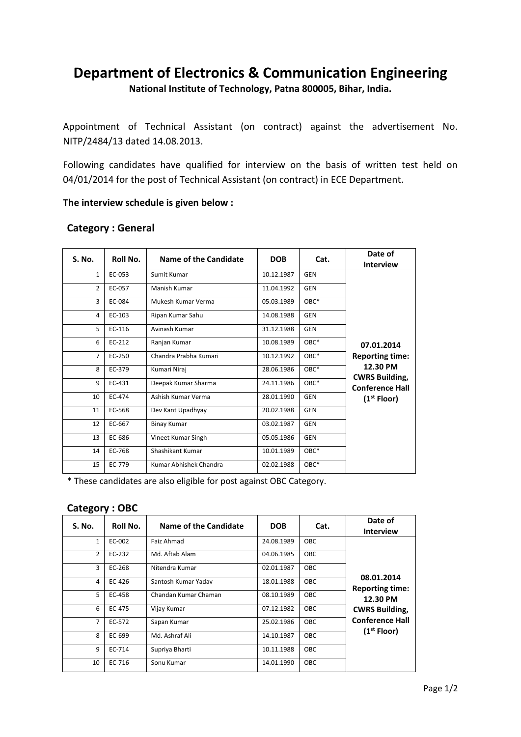# **Department of Electronics & Communication Engineering**

**National Institute of Technology, Patna 800005, Bihar, India.**

Appointment of Technical Assistant (on contract) against the advertisement No. NITP/2484/13 dated 14.08.2013.

Following candidates have qualified for interview on the basis of written test held on 04/01/2014 for the post of Technical Assistant (on contract) in ECE Department.

#### **The interview schedule is given below :**

| S. No.         | Roll No. | Name of the Candidate  | <b>DOB</b> | Cat.       | Date of<br><b>Interview</b>                                                                                                    |
|----------------|----------|------------------------|------------|------------|--------------------------------------------------------------------------------------------------------------------------------|
| $\mathbf{1}$   | EC-053   | Sumit Kumar            | 10.12.1987 | GEN        | 07.01.2014<br><b>Reporting time:</b><br>12.30 PM<br><b>CWRS Building,</b><br><b>Conference Hall</b><br>(1 <sup>st</sup> Floor) |
| $\overline{2}$ | EC-057   | Manish Kumar           | 11.04.1992 | <b>GEN</b> |                                                                                                                                |
| 3              | EC-084   | Mukesh Kumar Verma     | 05.03.1989 | OBC*       |                                                                                                                                |
| 4              | EC-103   | Ripan Kumar Sahu       | 14.08.1988 | <b>GEN</b> |                                                                                                                                |
| 5              | EC-116   | Avinash Kumar          | 31.12.1988 | <b>GEN</b> |                                                                                                                                |
| 6              | EC-212   | Ranjan Kumar           | 10.08.1989 | OBC*       |                                                                                                                                |
| 7              | EC-250   | Chandra Prabha Kumari  | 10.12.1992 | OBC*       |                                                                                                                                |
| 8              | EC-379   | Kumari Niraj           | 28.06.1986 | OBC*       |                                                                                                                                |
| 9              | EC-431   | Deepak Kumar Sharma    | 24.11.1986 | OBC*       |                                                                                                                                |
| 10             | EC-474   | Ashish Kumar Verma     | 28.01.1990 | <b>GEN</b> |                                                                                                                                |
| 11             | EC-568   | Dev Kant Upadhyay      | 20.02.1988 | <b>GEN</b> |                                                                                                                                |
| 12             | EC-667   | <b>Binay Kumar</b>     | 03.02.1987 | <b>GEN</b> |                                                                                                                                |
| 13             | EC-686   | Vineet Kumar Singh     | 05.05.1986 | <b>GEN</b> |                                                                                                                                |
| 14             | EC-768   | Shashikant Kumar       | 10.01.1989 | OBC*       |                                                                                                                                |
| 15             | EC-779   | Kumar Abhishek Chandra | 02.02.1988 | OBC*       |                                                                                                                                |

### **Category : General**

\* These candidates are also eligible for post against OBC Category.

#### **Category : OBC**

| <b>S. No.</b>  | Roll No. | Name of the Candidate | <b>DOB</b> | Cat.       | Date of<br><b>Interview</b>                                               |
|----------------|----------|-----------------------|------------|------------|---------------------------------------------------------------------------|
| $\mathbf{1}$   | EC-002   | Faiz Ahmad            | 24.08.1989 | <b>OBC</b> | 08.01.2014<br><b>Reporting time:</b><br>12.30 PM<br><b>CWRS Building,</b> |
| $\mathfrak{p}$ | EC-232   | Md. Aftab Alam        | 04.06.1985 | <b>OBC</b> |                                                                           |
| 3              | EC-268   | Nitendra Kumar        | 02.01.1987 | <b>OBC</b> |                                                                           |
| 4              | EC-426   | Santosh Kumar Yadav   | 18.01.1988 | <b>OBC</b> |                                                                           |
| 5              | EC-458   | Chandan Kumar Chaman  | 08.10.1989 | <b>OBC</b> |                                                                           |
| 6              | EC-475   | Vijay Kumar           | 07.12.1982 | <b>OBC</b> |                                                                           |
| $\overline{7}$ | EC-572   | Sapan Kumar           | 25.02.1986 | <b>OBC</b> | <b>Conference Hall</b>                                                    |
| 8              | EC-699   | Md. Ashraf Ali        | 14.10.1987 | <b>OBC</b> | (1 <sup>st</sup> Floor)                                                   |
| 9              | EC-714   | Supriya Bharti        | 10.11.1988 | <b>OBC</b> |                                                                           |
| 10             | EC-716   | Sonu Kumar            | 14.01.1990 | <b>OBC</b> |                                                                           |